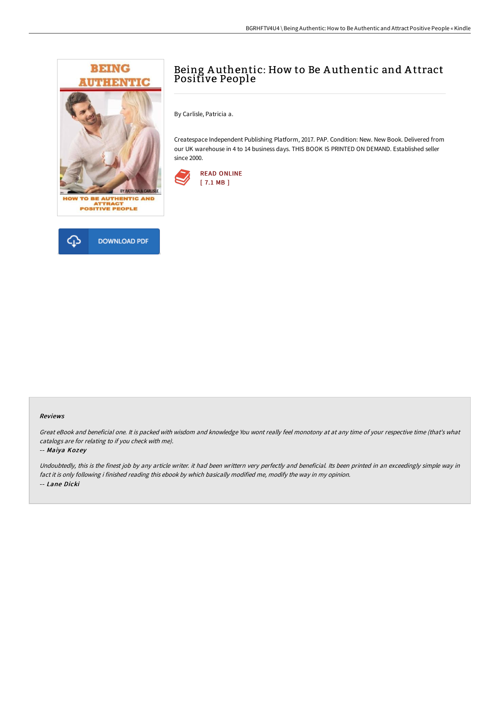



# Being A uthentic: How to Be A uthentic and A ttract Positive People

By Carlisle, Patricia a.

Createspace Independent Publishing Platform, 2017. PAP. Condition: New. New Book. Delivered from our UK warehouse in 4 to 14 business days. THIS BOOK IS PRINTED ON DEMAND. Established seller since 2000.



### Reviews

Great eBook and beneficial one. It is packed with wisdom and knowledge You wont really feel monotony at at any time of your respective time (that's what catalogs are for relating to if you check with me).

### -- Maiya Kozey

Undoubtedly, this is the finest job by any article writer. it had been writtern very perfectly and beneficial. Its been printed in an exceedingly simple way in fact it is only following i finished reading this ebook by which basically modified me, modify the way in my opinion. -- Lane Dicki